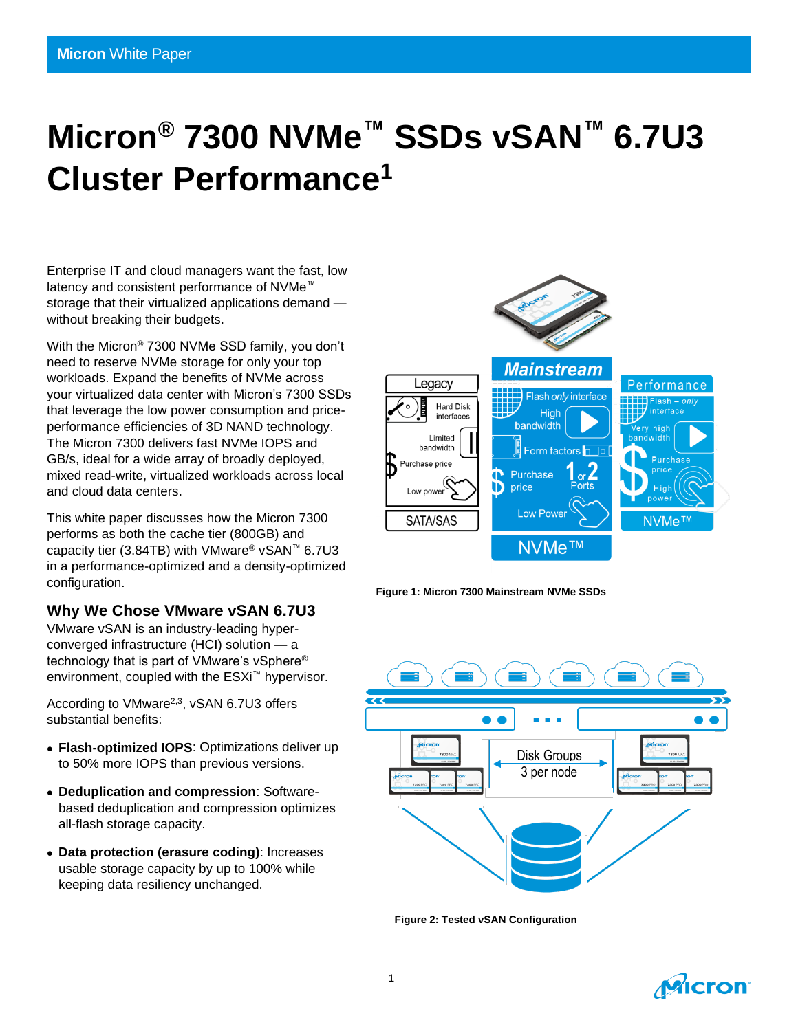# **Micron® 7300 NVMe™ SSDs vSAN™ 6.7U3 Cluster Performance<sup>1</sup>**

Enterprise IT and cloud managers want the fast, low latency and consistent performance of NVMe™ storage that their virtualized applications demand without breaking their budgets.

With the Micron® 7300 NVMe SSD family, you don't need to reserve NVMe storage for only your top workloads. Expand the benefits of NVMe across your virtualized data center with Micron's 7300 SSDs that leverage the low power consumption and priceperformance efficiencies of 3D NAND technology. The Micron 7300 delivers fast NVMe IOPS and GB/s, ideal for a wide array of broadly deployed, mixed read-write, virtualized workloads across local and cloud data centers.

This white paper discusses how the Micron 7300 performs as both the cache tier (800GB) and capacity tier (3.84TB) with VMware® vSAN™ 6.7U3 in a performance-optimized and a density-optimized configuration.

#### **Why We Chose VMware vSAN 6.7U3**

VMware vSAN is an industry-leading hyperconverged infrastructure (HCI) solution — a technology that is part of VMware's vSphere® environment, coupled with the ESXi™ hypervisor.

According to VMware<sup>2,3</sup>, vSAN 6.7U3 offers substantial benefits:

- **Flash-optimized IOPS**: Optimizations deliver up to 50% more IOPS than previous versions.
- **Deduplication and compression**: Softwarebased deduplication and compression optimizes all-flash storage capacity.
- **Data protection (erasure coding)**: Increases usable storage capacity by up to 100% while keeping data resiliency unchanged.







**Figure 2: Tested vSAN Configuration**

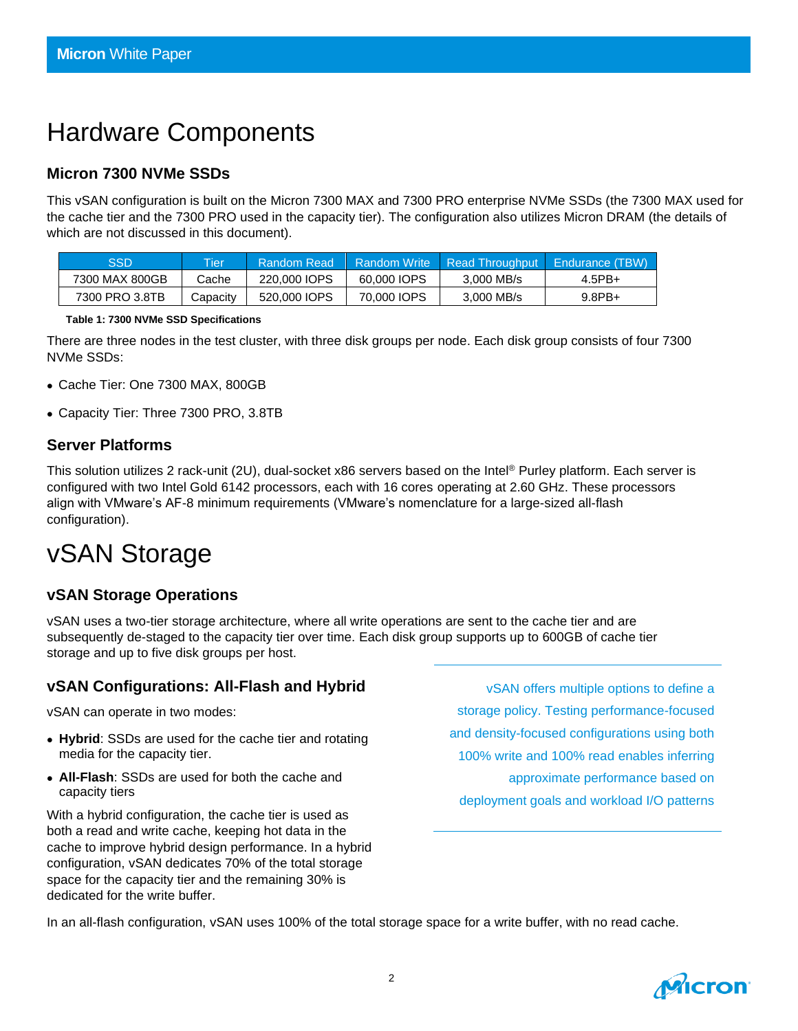# Hardware Components

#### **Micron 7300 NVMe SSDs**

This vSAN configuration is built on the Micron 7300 MAX and 7300 PRO enterprise NVMe SSDs (the 7300 MAX used for the cache tier and the 7300 PRO used in the capacity tier). The configuration also utilizes Micron DRAM (the details of which are not discussed in this document).

| SSD            | <b>Tier</b> | Random Read  | <b>Random Write</b> |            | Read Throughput Endurance (TBW) |
|----------------|-------------|--------------|---------------------|------------|---------------------------------|
| 7300 MAX 800GB | Cache       | 220,000 IOPS | 60,000 IOPS         | 3.000 MB/s | $4.5$ PB+                       |
| 7300 PRO 3.8TB | Capacitv    | 520,000 IOPS | 70,000 IOPS         | 3.000 MB/s | $9.8$ PB+                       |

**Table 1: 7300 NVMe SSD Specifications**

There are three nodes in the test cluster, with three disk groups per node. Each disk group consists of four 7300 NVMe SSDs:

- Cache Tier: One 7300 MAX, 800GB
- Capacity Tier: Three 7300 PRO, 3.8TB

#### **Server Platforms**

This solution utilizes 2 rack-unit (2U), dual-socket x86 servers based on the Intel® Purley platform. Each server is configured with two Intel Gold 6142 processors, each with 16 cores operating at 2.60 GHz. These processors align with VMware's AF-8 minimum requirements (VMware's nomenclature for a large-sized all-flash configuration).

# vSAN Storage

#### **vSAN Storage Operations**

vSAN uses a two-tier storage architecture, where all write operations are sent to the cache tier and are subsequently de-staged to the capacity tier over time. Each disk group supports up to 600GB of cache tier storage and up to five disk groups per host.

#### **vSAN Configurations: All-Flash and Hybrid**

vSAN can operate in two modes:

- **Hybrid**: SSDs are used for the cache tier and rotating media for the capacity tier.
- **All-Flash**: SSDs are used for both the cache and capacity tiers

With a hybrid configuration, the cache tier is used as both a read and write cache, keeping hot data in the cache to improve hybrid design performance. In a hybrid configuration, vSAN dedicates 70% of the total storage space for the capacity tier and the remaining 30% is dedicated for the write buffer.

vSAN offers multiple options to define a storage policy. Testing performance-focused and density-focused configurations using both 100% write and 100% read enables inferring approximate performance based on deployment goals and workload I/O patterns

In an all-flash configuration, vSAN uses 100% of the total storage space for a write buffer, with no read cache.

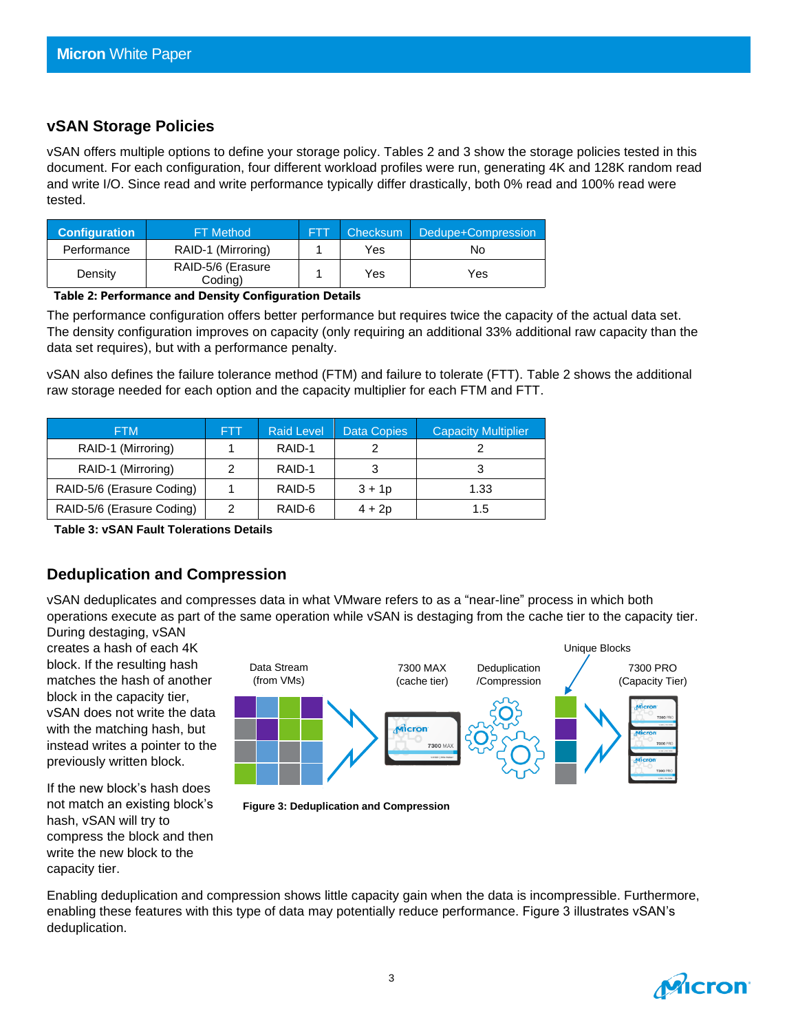#### **vSAN Storage Policies**

vSAN offers multiple options to define your storage policy. Tables 2 and 3 show the storage policies tested in this document. For each configuration, four different workload profiles were run, generating 4K and 128K random read and write I/O. Since read and write performance typically differ drastically, both 0% read and 100% read were tested.

| <b>Configuration</b> | <b>FT Method</b>             | Checksum | Dedupe+Compression |
|----------------------|------------------------------|----------|--------------------|
| Performance          | RAID-1 (Mirroring)           | Yes      | No                 |
| Density              | RAID-5/6 (Erasure<br>Coding) | Yes      | Yes                |

#### **Table 2: Performance and Density Configuration Details**

The performance configuration offers better performance but requires twice the capacity of the actual data set. The density configuration improves on capacity (only requiring an additional 33% additional raw capacity than the data set requires), but with a performance penalty.

vSAN also defines the failure tolerance method (FTM) and failure to tolerate (FTT). Table 2 shows the additional raw storage needed for each option and the capacity multiplier for each FTM and FTT.

| <b>FTM</b>                | <b>FTT</b> | <b>Raid Level</b> | Data Copies | <b>Capacity Multiplier</b> |
|---------------------------|------------|-------------------|-------------|----------------------------|
| RAID-1 (Mirroring)        |            | RAID-1            |             |                            |
| RAID-1 (Mirroring)        |            | RAID-1            |             |                            |
| RAID-5/6 (Erasure Coding) |            | RAID-5            | $3 + 1p$    | 1.33                       |
| RAID-5/6 (Erasure Coding) |            | RAID-6            | $4 + 2p$    | 1.5                        |

**Table 3: vSAN Fault Tolerations Details**

#### **Deduplication and Compression**

vSAN deduplicates and compresses data in what VMware refers to as a "near-line" process in which both operations execute as part of the same operation while vSAN is destaging from the cache tier to the capacity tier.

During destaging, vSAN creates a hash of each 4K block. If the resulting hash matches the hash of another block in the capacity tier, vSAN does not write the data with the matching hash, but instead writes a pointer to the previously written block.

If the new block's hash does not match an existing block's hash, vSAN will try to compress the block and then write the new block to the capacity tier.



Enabling deduplication and compression shows little capacity gain when the data is incompressible. Furthermore, enabling these features with this type of data may potentially reduce performance. Figure 3 illustrates vSAN's deduplication.

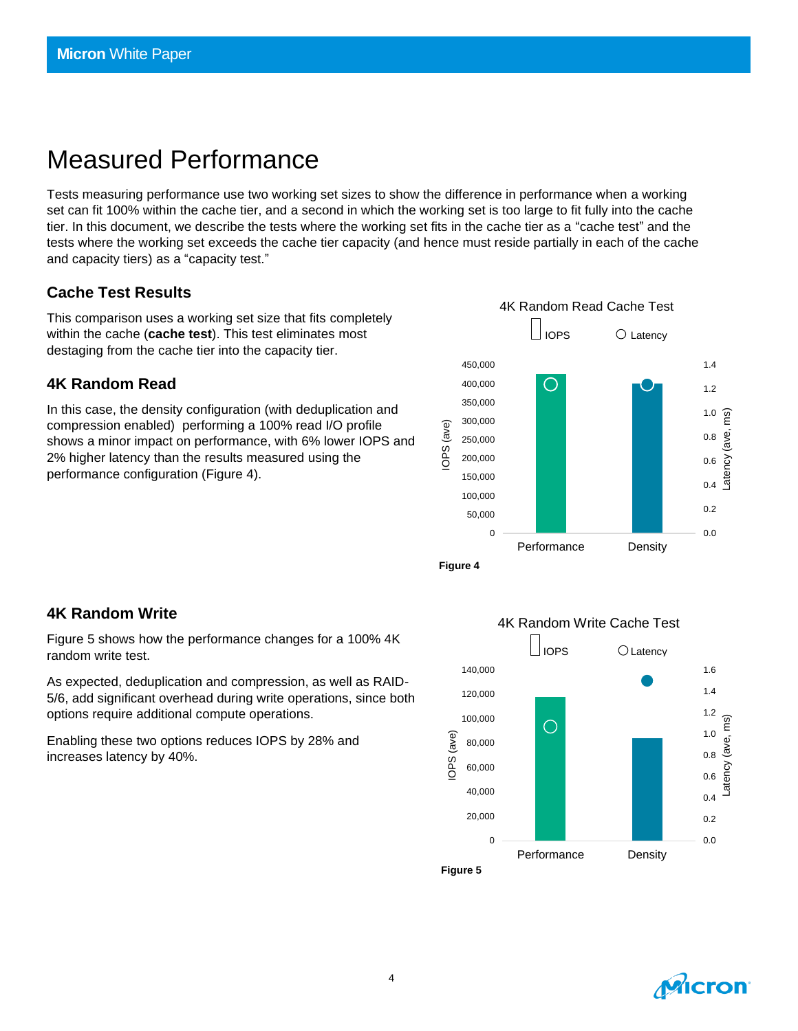### Measured Performance

Tests measuring performance use two working set sizes to show the difference in performance when a working set can fit 100% within the cache tier, and a second in which the working set is too large to fit fully into the cache tier. In this document, we describe the tests where the working set fits in the cache tier as a "cache test" and the tests where the working set exceeds the cache tier capacity (and hence must reside partially in each of the cache and capacity tiers) as a "capacity test."

#### **Cache Test Results**

This comparison uses a working set size that fits completely within the cache (**cache test**). This test eliminates most destaging from the cache tier into the capacity tier.

#### **4K Random Read**

In this case, the density configuration (with deduplication and compression enabled) performing a 100% read I/O profile shows a minor impact on performance, with 6% lower IOPS and 2% higher latency than the results measured using the performance configuration (Figure 4).





Figure 5 shows how the performance changes for a 100% 4K random write test.

As expected, deduplication and compression, as well as RAID-5/6, add significant overhead during write operations, since both options require additional compute operations.

Enabling these two options reduces IOPS by 28% and increases latency by 40%.



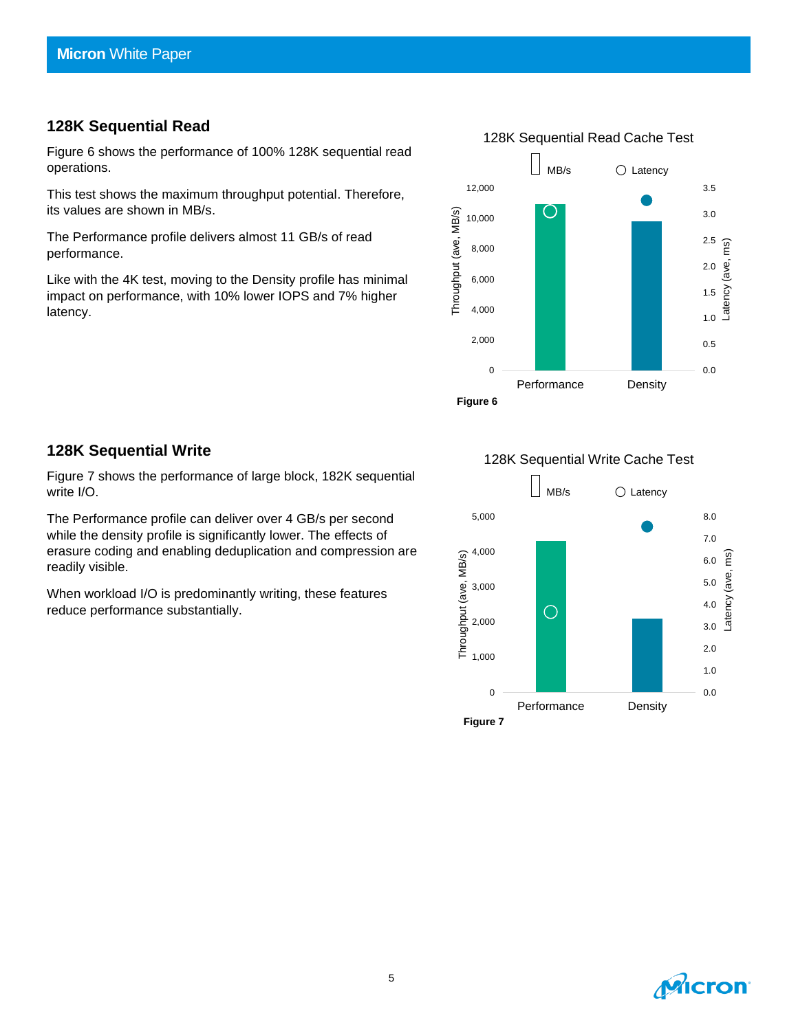#### **128K Sequential Read**

Figure 6 shows the performance of 100% 128K sequential read operations.

This test shows the maximum throughput potential. Therefore, its values are shown in MB/s.

The Performance profile delivers almost 11 GB/s of read performance.

Like with the 4K test, moving to the Density profile has minimal impact on performance, with 10% lower IOPS and 7% higher latency.



#### **128K Sequential Write**

Figure 7 shows the performance of large block, 182K sequential write I/O.

The Performance profile can deliver over 4 GB/s per second while the density profile is significantly lower. The effects of erasure coding and enabling deduplication and compression are readily visible.

When workload I/O is predominantly writing, these features reduce performance substantially.

128K Sequential Write Cache Test



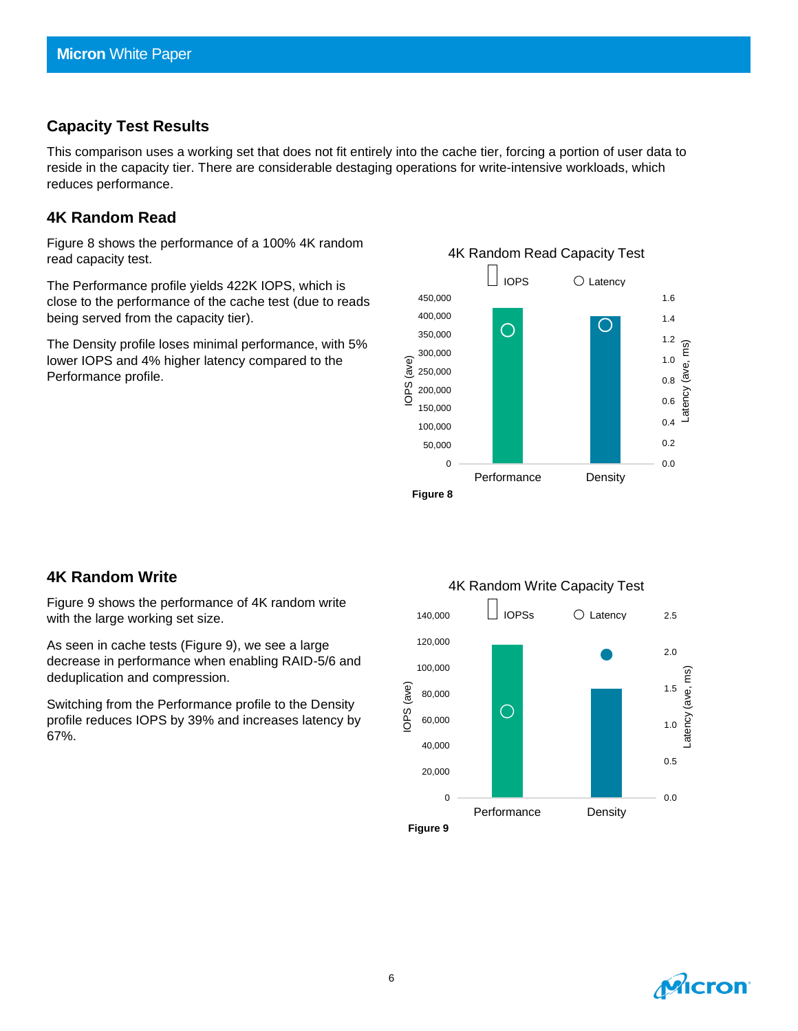#### **Capacity Test Results**

This comparison uses a working set that does not fit entirely into the cache tier, forcing a portion of user data to reside in the capacity tier. There are considerable destaging operations for write-intensive workloads, which reduces performance.

#### **4K Random Read**

Figure 8 shows the performance of a 100% 4K random read capacity test.

The Performance profile yields 422K IOPS, which is close to the performance of the cache test (due to reads being served from the capacity tier).

The Density profile loses minimal performance, with 5% lower IOPS and 4% higher latency compared to the Performance profile.



#### **4K Random Write**

Figure 9 shows the performance of 4K random write with the large working set size.

As seen in cache tests (Figure 9), we see a large decrease in performance when enabling RAID-5/6 and deduplication and compression.

Switching from the Performance profile to the Density profile reduces IOPS by 39% and increases latency by 67%.



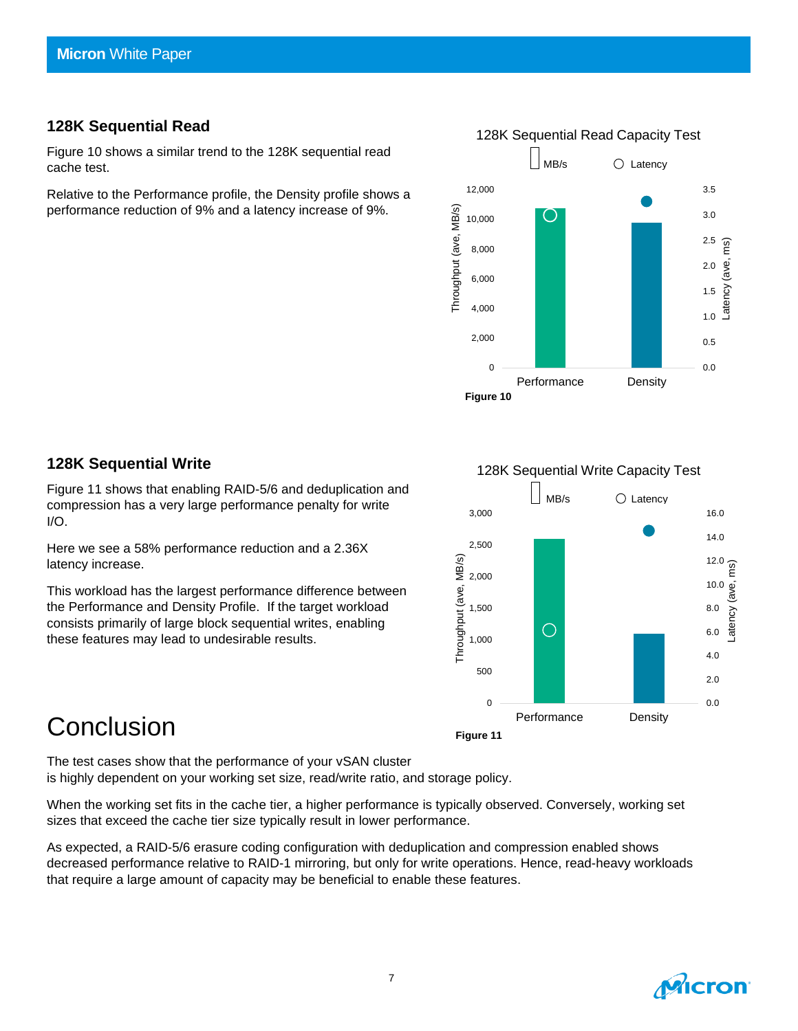#### **128K Sequential Read**

Figure 10 shows a similar trend to the 128K sequential read cache test.

Relative to the Performance profile, the Density profile shows a performance reduction of 9% and a latency increase of 9%.



#### **128K Sequential Write**

Figure 11 shows that enabling RAID-5/6 and deduplication and compression has a very large performance penalty for write I/O.

Here we see a 58% performance reduction and a 2.36X latency increase.

This workload has the largest performance difference between the Performance and Density Profile. If the target workload consists primarily of large block sequential writes, enabling these features may lead to undesirable results.

### **Conclusion**

**Figure 11**

The test cases show that the performance of your vSAN cluster is highly dependent on your working set size, read/write ratio, and storage policy.

When the working set fits in the cache tier, a higher performance is typically observed. Conversely, working set sizes that exceed the cache tier size typically result in lower performance.

As expected, a RAID-5/6 erasure coding configuration with deduplication and compression enabled shows decreased performance relative to RAID-1 mirroring, but only for write operations. Hence, read-heavy workloads that require a large amount of capacity may be beneficial to enable these features.





128K Sequential Write Capacity Test